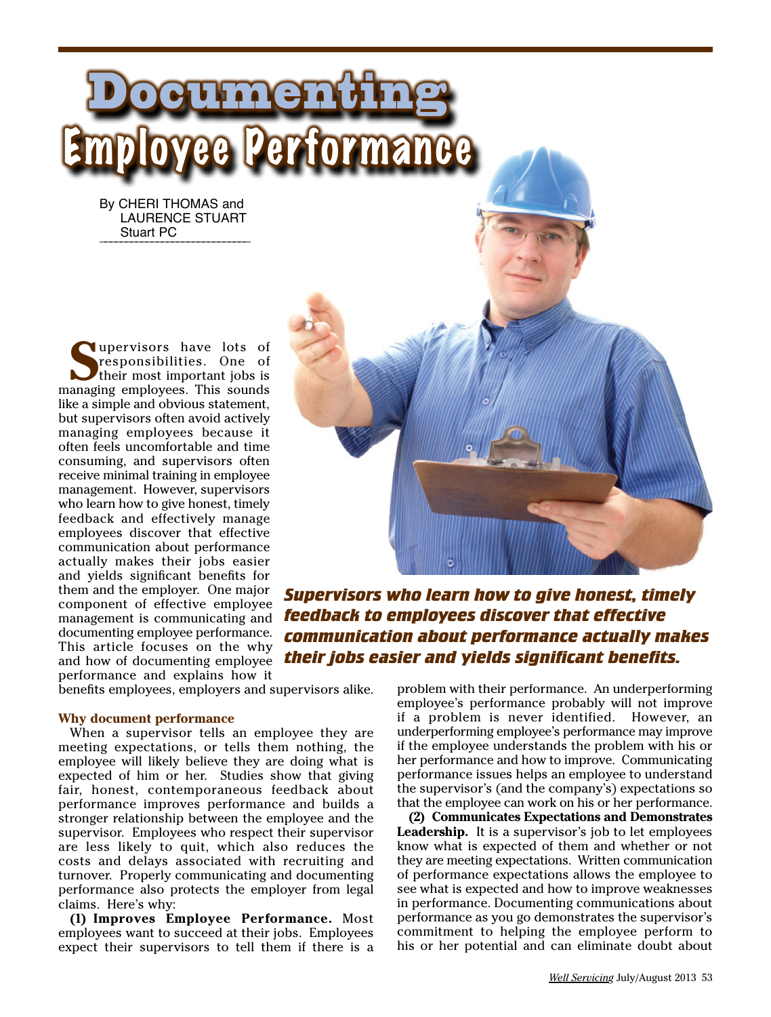By CHERI THOMAS and LAURENCE STUART Stuart PC

Documenting

**S**upervisors have lots of responsibilities. One of their most important jobs is managing employees. This sounds like a simple and obvious statement, but supervisors often avoid actively managing employees because it often feels uncomfortable and time consuming, and supervisors often receive minimal training in employee management. However, supervisors who learn how to give honest, timely feedback and effectively manage employees discover that effective communication about performance actually makes their jobs easier and yields significant benefits for them and the employer. One major component of effective employee management is communicating and documenting employee performance. This article focuses on the why and how of documenting employee performance and explains how it

Employee Performance

*Supervisors who learn how to give honest, timely feedback to employees discover that effective communication about performance actually makes their jobs easier and yields significant benefits.*

benefits employees, employers and supervisors alike.

#### **Why document performance**

When a supervisor tells an employee they are meeting expectations, or tells them nothing, the employee will likely believe they are doing what is expected of him or her. Studies show that giving fair, honest, contemporaneous feedback about performance improves performance and builds a stronger relationship between the employee and the supervisor. Employees who respect their supervisor are less likely to quit, which also reduces the costs and delays associated with recruiting and turnover. Properly communicating and documenting performance also protects the employer from legal claims. Here's why:

**(1) Improves Employee Performance.** Most employees want to succeed at their jobs. Employees expect their supervisors to tell them if there is a

problem with their performance. An underperforming employee's performance probably will not improve if a problem is never identified. However, an underperforming employee's performance may improve if the employee understands the problem with his or her performance and how to improve. Communicating performance issues helps an employee to understand the supervisor's (and the company's) expectations so that the employee can work on his or her performance.

**(2) Communicates Expectations and Demonstrates Leadership.** It is a supervisor's job to let employees know what is expected of them and whether or not they are meeting expectations. Written communication of performance expectations allows the employee to see what is expected and how to improve weaknesses in performance. Documenting communications about performance as you go demonstrates the supervisor's commitment to helping the employee perform to his or her potential and can eliminate doubt about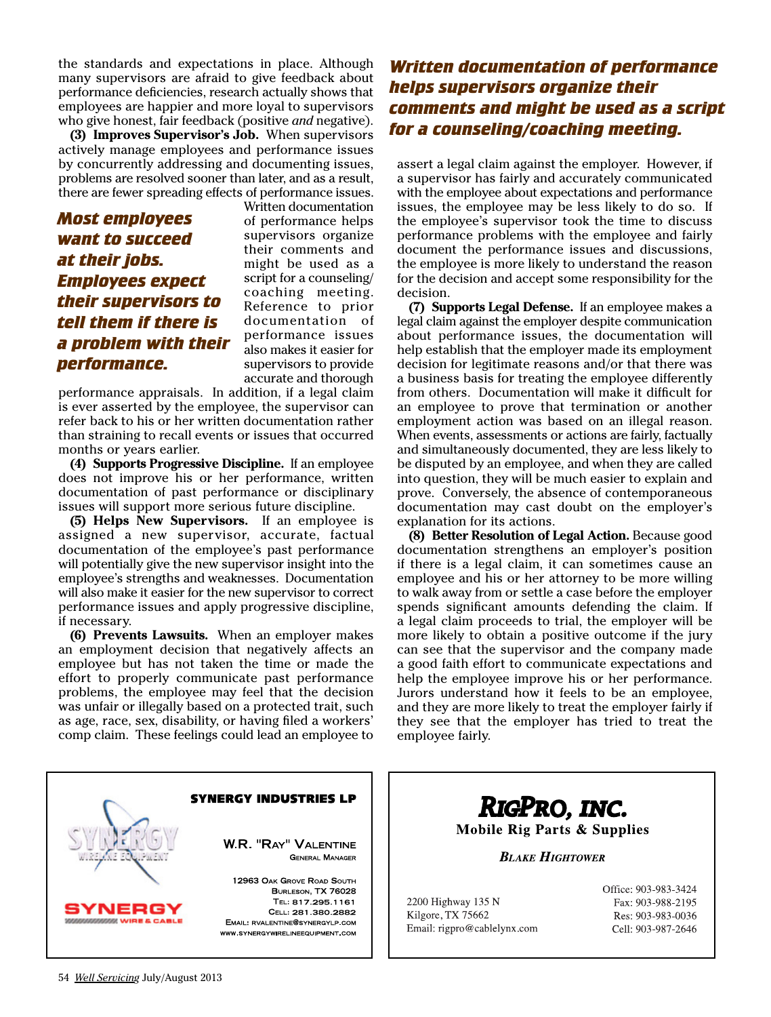the standards and expectations in place. Although many supervisors are afraid to give feedback about performance deficiencies, research actually shows that employees are happier and more loyal to supervisors who give honest, fair feedback (positive *and* negative).

**(3) Improves Supervisor's Job.** When supervisors actively manage employees and performance issues by concurrently addressing and documenting issues, problems are resolved sooner than later, and as a result, there are fewer spreading effects of performance issues.

# *Most employees want to succeed at their jobs. Employees expect their supervisors to tell them if there is a problem with their performance.*

Written documentation of performance helps supervisors organize their comments and might be used as a script for a counseling/ coaching meeting. Reference to prior documentation of performance issues also makes it easier for supervisors to provide accurate and thorough

performance appraisals. In addition, if a legal claim is ever asserted by the employee, the supervisor can refer back to his or her written documentation rather than straining to recall events or issues that occurred months or years earlier.

**(4) Supports Progressive Discipline.** If an employee does not improve his or her performance, written documentation of past performance or disciplinary issues will support more serious future discipline.

**(5) Helps New Supervisors.** If an employee is assigned a new supervisor, accurate, factual documentation of the employee's past performance will potentially give the new supervisor insight into the employee's strengths and weaknesses. Documentation will also make it easier for the new supervisor to correct performance issues and apply progressive discipline, if necessary.

**(6) Prevents Lawsuits.** When an employer makes an employment decision that negatively affects an employee but has not taken the time or made the effort to properly communicate past performance problems, the employee may feel that the decision was unfair or illegally based on a protected trait, such as age, race, sex, disability, or having filed a workers' comp claim. These feelings could lead an employee to

# *Written documentation of performance helps supervisors organize their comments and might be used as a script for a counseling/coaching meeting.*

assert a legal claim against the employer. However, if a supervisor has fairly and accurately communicated with the employee about expectations and performance issues, the employee may be less likely to do so. If the employee's supervisor took the time to discuss performance problems with the employee and fairly document the performance issues and discussions, the employee is more likely to understand the reason for the decision and accept some responsibility for the decision.

**(7) Supports Legal Defense.** If an employee makes a legal claim against the employer despite communication about performance issues, the documentation will help establish that the employer made its employment decision for legitimate reasons and/or that there was a business basis for treating the employee differently from others. Documentation will make it difficult for an employee to prove that termination or another employment action was based on an illegal reason. When events, assessments or actions are fairly, factually and simultaneously documented, they are less likely to be disputed by an employee, and when they are called into question, they will be much easier to explain and prove. Conversely, the absence of contemporaneous documentation may cast doubt on the employer's explanation for its actions.

**(8) Better Resolution of Legal Action.** Because good documentation strengthens an employer's position if there is a legal claim, it can sometimes cause an employee and his or her attorney to be more willing to walk away from or settle a case before the employer spends significant amounts defending the claim. If a legal claim proceeds to trial, the employer will be more likely to obtain a positive outcome if the jury can see that the supervisor and the company made a good faith effort to communicate expectations and help the employee improve his or her performance. Jurors understand how it feels to be an employee, and they are more likely to treat the employer fairly if they see that the employer has tried to treat the employee fairly.



RIGPRO, INC. **Mobile Rig Parts & Supplies** 

**BLAKE HIGHTOWER** 

2200 Highway 135 N Kilgore, TX 75662 Email: rigpro@cablelynx.com Office: 903-983-3424 Fax: 903-988-2195 Res: 903-983-0036 Cell: 903-987-2646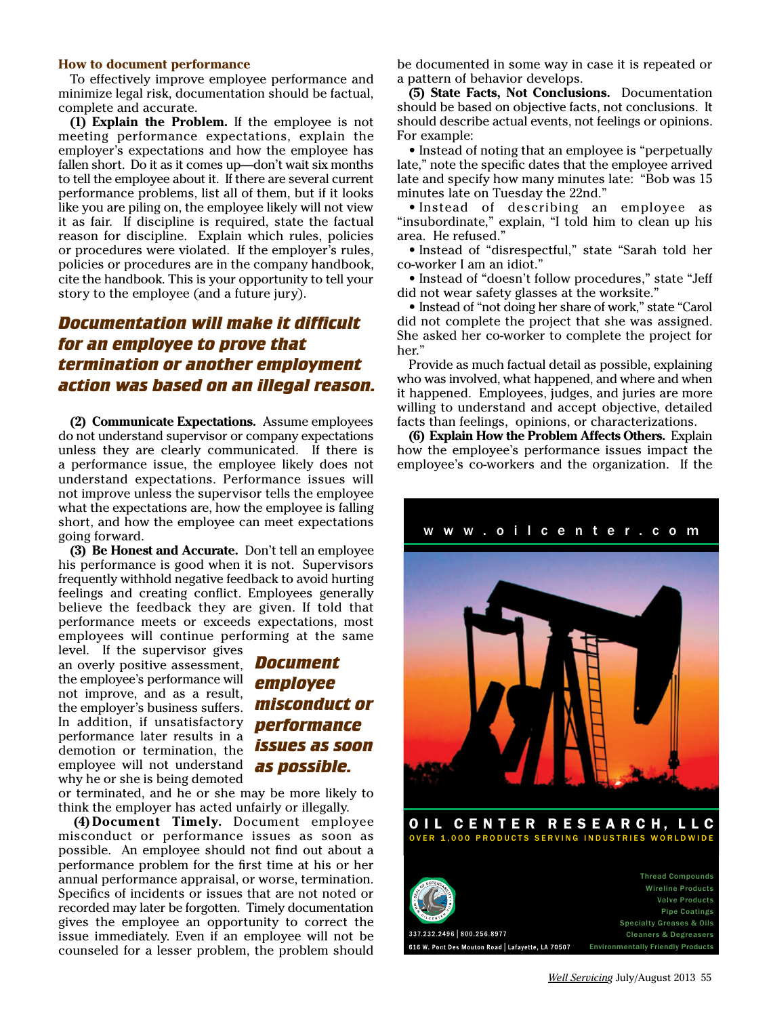#### **How to document performance**

To effectively improve employee performance and minimize legal risk, documentation should be factual, complete and accurate.

**(1) Explain the Problem.** If the employee is not meeting performance expectations, explain the employer's expectations and how the employee has fallen short. Do it as it comes up—don't wait six months to tell the employee about it. If there are several current performance problems, list all of them, but if it looks like you are piling on, the employee likely will not view it as fair. If discipline is required, state the factual reason for discipline. Explain which rules, policies or procedures were violated. If the employer's rules, policies or procedures are in the company handbook, cite the handbook. This is your opportunity to tell your story to the employee (and a future jury).

### *Documentation will make it difficult for an employee to prove that termination or another employment action was based on an illegal reason.*

**(2) Communicate Expectations.** Assume employees do not understand supervisor or company expectations unless they are clearly communicated. If there is a performance issue, the employee likely does not understand expectations. Performance issues will not improve unless the supervisor tells the employee what the expectations are, how the employee is falling short, and how the employee can meet expectations going forward.

**(3) Be Honest and Accurate.** Don't tell an employee his performance is good when it is not. Supervisors frequently withhold negative feedback to avoid hurting feelings and creating conflict. Employees generally believe the feedback they are given. If told that performance meets or exceeds expectations, most employees will continue performing at the same

level. If the supervisor gives an overly positive assessment, the employee's performance will not improve, and as a result, the employer's business suffers. In addition, if unsatisfactory performance later results in a demotion or termination, the employee will not understand *as possible.* why he or she is being demoted

# *Document employee misconduct or performance issues as soon*

or terminated, and he or she may be more likely to think the employer has acted unfairly or illegally.

**(4) Document Timely.** Document employee misconduct or performance issues as soon as possible. An employee should not find out about a performance problem for the first time at his or her annual performance appraisal, or worse, termination. Specifics of incidents or issues that are not noted or recorded may later be forgotten. Timely documentation gives the employee an opportunity to correct the issue immediately. Even if an employee will not be counseled for a lesser problem, the problem should

be documented in some way in case it is repeated or a pattern of behavior develops.

**(5) State Facts, Not Conclusions.** Documentation should be based on objective facts, not conclusions. It should describe actual events, not feelings or opinions. For example:

• Instead of noting that an employee is "perpetually late," note the specific dates that the employee arrived late and specify how many minutes late: "Bob was 15 minutes late on Tuesday the 22nd."

• Instead of describing an employee as "insubordinate," explain, "I told him to clean up his area. He refused."

• Instead of "disrespectful," state "Sarah told her co-worker I am an idiot."

• Instead of "doesn't follow procedures," state "Jeff did not wear safety glasses at the worksite."

• Instead of "not doing her share of work," state "Carol did not complete the project that she was assigned. She asked her co-worker to complete the project for her."

Provide as much factual detail as possible, explaining who was involved, what happened, and where and when it happened. Employees, judges, and juries are more willing to understand and accept objective, detailed facts than feelings, opinions, or characterizations.

**(6) Explain How the Problem Affects Others.** Explain how the employee's performance issues impact the employee's co-workers and the organization. If the